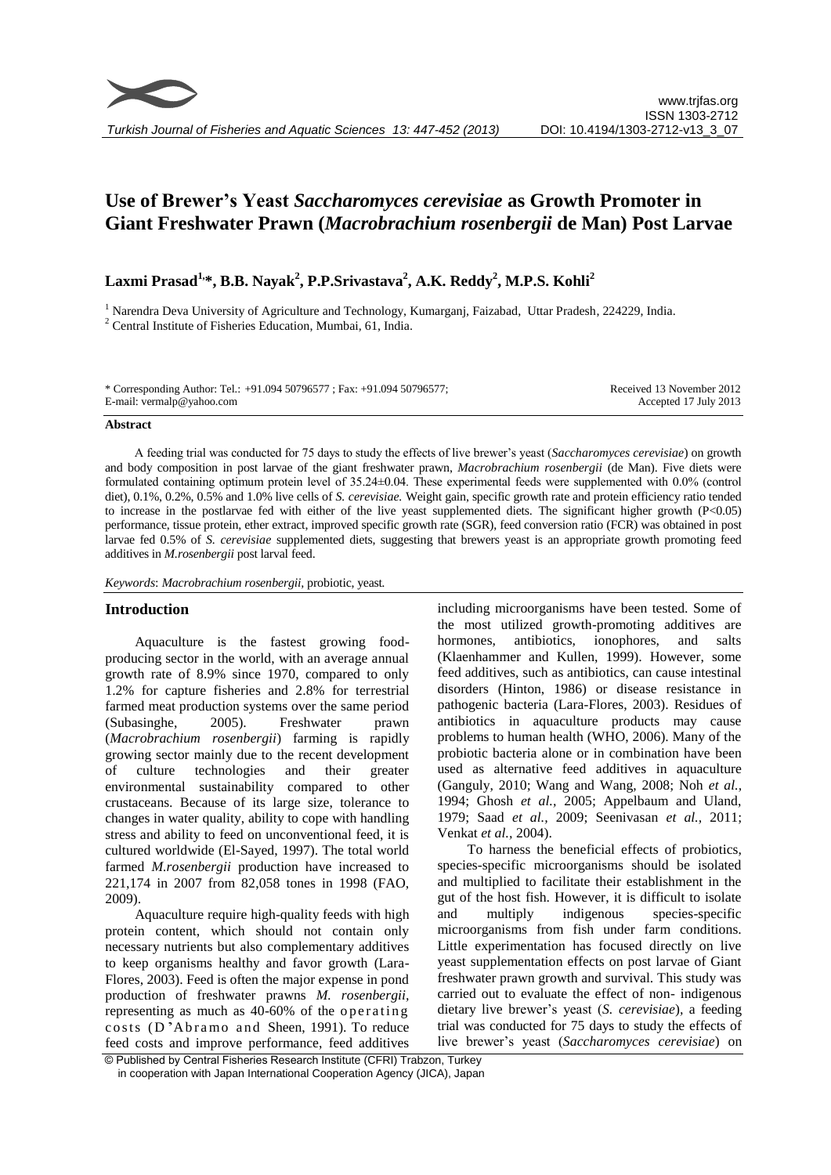# **Use of Brewer's Yeast** *Saccharomyces cerevisiae* **as Growth Promoter in Giant Freshwater Prawn (***Macrobrachium rosenbergii* **de Man) Post Larvae**

# **Laxmi Prasad1, \*, B.B. Nayak<sup>2</sup> , P.P.Srivastava<sup>2</sup> , A.K. Reddy<sup>2</sup> , M.P.S. Kohli<sup>2</sup>**

<sup>1</sup> Narendra Deva University of Agriculture and Technology, Kumarganj, Faizabad, Uttar Pradesh, 224229, India. <sup>2</sup> Central Institute of Fisheries Education, Mumbai, 61, India.

\* Corresponding Author: Tel.: +91.094 50796577 ; Fax: +91.094 50796577; E-mail: vermalp@yahoo.com

Received 13 November 2012 Accepted 17 July 2013

#### **Abstract**

A feeding trial was conducted for 75 days to study the effects of live brewer's yeast (*Saccharomyces cerevisiae*) on growth and body composition in post larvae of the giant freshwater prawn, *Macrobrachium rosenbergii* (de Man). Five diets were formulated containing optimum protein level of 35.24±0.04. These experimental feeds were supplemented with 0.0% (control diet), 0.1%, 0.2%, 0.5% and 1.0% live cells of *S. cerevisiae.* Weight gain, specific growth rate and protein efficiency ratio tended to increase in the postlarvae fed with either of the live yeast supplemented diets. The significant higher growth (P<0.05) performance, tissue protein, ether extract, improved specific growth rate (SGR), feed conversion ratio (FCR) was obtained in post larvae fed 0.5% of *S. cerevisiae* supplemented diets, suggesting that brewers yeast is an appropriate growth promoting feed additives in *M.rosenbergii* post larval feed.

*Keywords*: *Macrobrachium rosenbergii,* probiotic, yeast*.*

# **Introduction**

Aquaculture is the fastest growing foodproducing sector in the world, with an average annual growth rate of 8.9% since 1970, compared to only 1.2% for capture fisheries and 2.8% for terrestrial farmed meat production systems over the same period (Subasinghe, 2005). Freshwater prawn (*Macrobrachium rosenbergii*) farming is rapidly growing sector mainly due to the recent development of culture technologies and their greater environmental sustainability compared to other crustaceans. Because of its large size, tolerance to changes in water quality, ability to cope with handling stress and ability to feed on unconventional feed, it is cultured worldwide (El-Sayed, 1997). The total world farmed *M.rosenbergii* production have increased to 221,174 in 2007 from 82,058 tones in 1998 (FAO, 2009).

Aquaculture require high-quality feeds with high protein content, which should not contain only necessary nutrients but also complementary additives to keep organisms healthy and favor growth (Lara-Flores, 2003). Feed is often the major expense in pond production of freshwater prawns *M. rosenbergii,*  representing as much as  $40-60\%$  of the operating costs (D'Abramo and Sheen, 1991). To reduce feed costs and improve performance, feed additives including microorganisms have been tested. Some of the most utilized growth-promoting additives are hormones, antibiotics, ionophores, and salts (Klaenhammer and Kullen, 1999). However, some feed additives, such as antibiotics, can cause intestinal disorders (Hinton, 1986) or disease resistance in pathogenic bacteria (Lara-Flores, 2003). Residues of antibiotics in aquaculture products may cause problems to human health (WHO, 2006). Many of the probiotic bacteria alone or in combination have been used as alternative feed additives in aquaculture (Ganguly, 2010; Wang and Wang, 2008; Noh *et al.,* 1994; Ghosh *et al.,* 2005; Appelbaum and Uland, 1979; Saad *et al.,* 2009; Seenivasan *et al.,* 2011; Venkat *et al.,* 2004).

To harness the beneficial effects of probiotics, species-specific microorganisms should be isolated and multiplied to facilitate their establishment in the gut of the host fish. However, it is difficult to isolate and multiply indigenous species-specific microorganisms from fish under farm conditions. Little experimentation has focused directly on live yeast supplementation effects on post larvae of Giant freshwater prawn growth and survival. This study was carried out to evaluate the effect of non- indigenous dietary live brewer's yeast (*S. cerevisiae*)*,* a feeding trial was conducted for 75 days to study the effects of live brewer's yeast (*Saccharomyces cerevisiae*) on

© Published by Central Fisheries Research Institute (CFRI) Trabzon, Turkey in cooperation with Japan International Cooperation Agency (JICA), Japan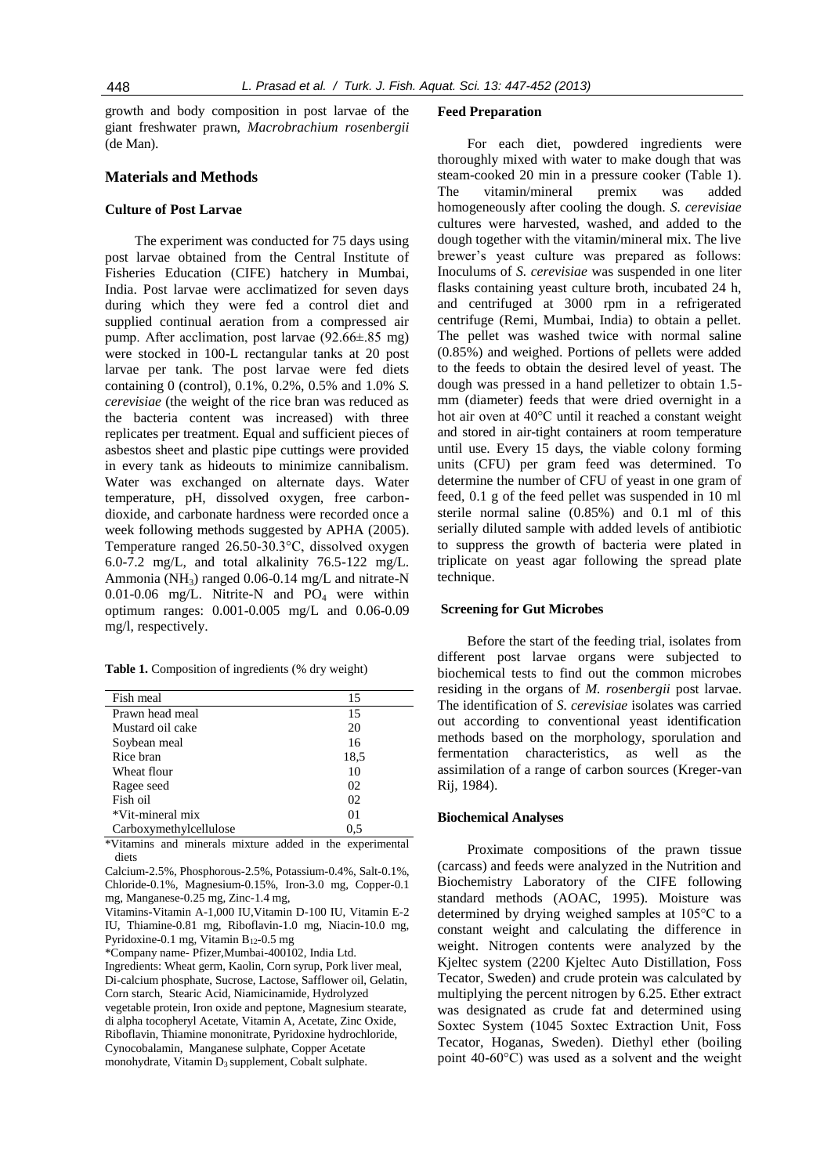growth and body composition in post larvae of the giant freshwater prawn, *Macrobrachium rosenbergii*  (de Man).

# **Materials and Methods**

#### **Culture of Post Larvae**

The experiment was conducted for 75 days using post larvae obtained from the Central Institute of Fisheries Education (CIFE) hatchery in Mumbai, India. Post larvae were acclimatized for seven days during which they were fed a control diet and supplied continual aeration from a compressed air pump. After acclimation, post larvae (92.66±.85 mg) were stocked in 100-L rectangular tanks at 20 post larvae per tank. The post larvae were fed diets containing 0 (control), 0.1%, 0.2%, 0.5% and 1.0% *S. cerevisiae* (the weight of the rice bran was reduced as the bacteria content was increased) with three replicates per treatment. Equal and sufficient pieces of asbestos sheet and plastic pipe cuttings were provided in every tank as hideouts to minimize cannibalism. Water was exchanged on alternate days. Water temperature, pH, dissolved oxygen, free carbondioxide, and carbonate hardness were recorded once a week following methods suggested by APHA (2005). Temperature ranged 26.50-30.3°C, dissolved oxygen 6.0-7.2 mg/L, and total alkalinity 76.5-122 mg/L. Ammonia (NH<sub>3</sub>) ranged  $0.06$ -0.14 mg/L and nitrate-N 0.01-0.06 mg/L. Nitrite-N and  $PO<sub>4</sub>$  were within optimum ranges: 0.001-0.005 mg/L and 0.06-0.09 mg/l, respectively.

|  |  | Table 1. Composition of ingredients (% dry weight) |
|--|--|----------------------------------------------------|
|  |  |                                                    |

| Fish meal              | 15             |
|------------------------|----------------|
| Prawn head meal        | 15             |
| Mustard oil cake       | 20             |
| Soybean meal           | 16             |
| Rice bran              | 18,5           |
| Wheat flour            | 10             |
| Ragee seed             | 02             |
| Fish oil               | 02             |
| *Vit-mineral mix       | 0 <sub>1</sub> |
| Carboxymethylcellulose | 0.5            |

\*Vitamins and minerals mixture added in the experimental diets

Calcium-2.5%, Phosphorous-2.5%, Potassium-0.4%, Salt-0.1%, Chloride-0.1%, Magnesium-0.15%, Iron-3.0 mg, Copper-0.1 mg, Manganese-0.25 mg, Zinc-1.4 mg,

Vitamins**-**Vitamin A-1,000 IU,Vitamin D-100 IU, Vitamin E-2 IU, Thiamine-0.81 mg, Riboflavin-1.0 mg, Niacin-10.0 mg, Pyridoxine-0.1 mg, Vitamin B12-0.5 mg

\*Company name- Pfizer,Mumbai-400102, India Ltd.

Ingredients: Wheat germ, Kaolin, Corn syrup, Pork liver meal, Di-calcium phosphate, Sucrose, Lactose, Safflower oil, Gelatin, Corn starch, Stearic Acid, Niamicinamide, Hydrolyzed vegetable protein, Iron oxide and peptone, Magnesium stearate, di alpha tocopheryl Acetate, Vitamin A, Acetate, Zinc Oxide, Riboflavin, Thiamine mononitrate, Pyridoxine hydrochloride, Cynocobalamin, Manganese sulphate, Copper Acetate monohydrate, Vitamin  $D_3$  supplement, Cobalt sulphate.

#### **Feed Preparation**

For each diet, powdered ingredients were thoroughly mixed with water to make dough that was steam-cooked 20 min in a pressure cooker (Table 1). The vitamin/mineral premix was added homogeneously after cooling the dough. *S. cerevisiae* cultures were harvested, washed, and added to the dough together with the vitamin/mineral mix. The live brewer's yeast culture was prepared as follows: Inoculums of *S. cerevisiae* was suspended in one liter flasks containing yeast culture broth, incubated 24 h, and centrifuged at 3000 rpm in a refrigerated centrifuge (Remi, Mumbai, India) to obtain a pellet. The pellet was washed twice with normal saline (0.85%) and weighed. Portions of pellets were added to the feeds to obtain the desired level of yeast. The dough was pressed in a hand pelletizer to obtain 1.5 mm (diameter) feeds that were dried overnight in a hot air oven at 40°C until it reached a constant weight and stored in air-tight containers at room temperature until use. Every 15 days, the viable colony forming units (CFU) per gram feed was determined. To determine the number of CFU of yeast in one gram of feed, 0.1 g of the feed pellet was suspended in 10 ml sterile normal saline (0.85%) and 0.1 ml of this serially diluted sample with added levels of antibiotic to suppress the growth of bacteria were plated in triplicate on yeast agar following the spread plate technique.

#### **Screening for Gut Microbes**

Before the start of the feeding trial, isolates from different post larvae organs were subjected to biochemical tests to find out the common microbes residing in the organs of *M. rosenbergii* post larvae. The identification of *S. cerevisiae* isolates was carried out according to conventional yeast identification methods based on the morphology, sporulation and fermentation characteristics, as well as the assimilation of a range of carbon sources (Kreger-van Rij, 1984).

### **Biochemical Analyses**

Proximate compositions of the prawn tissue (carcass) and feeds were analyzed in the Nutrition and Biochemistry Laboratory of the CIFE following standard methods (AOAC, 1995). Moisture was determined by drying weighed samples at 105°C to a constant weight and calculating the difference in weight. Nitrogen contents were analyzed by the Kjeltec system (2200 Kjeltec Auto Distillation, Foss Tecator, Sweden) and crude protein was calculated by multiplying the percent nitrogen by 6.25. Ether extract was designated as crude fat and determined using Soxtec System (1045 Soxtec Extraction Unit, Foss Tecator, Hoganas, Sweden). Diethyl ether (boiling point 40-60°C) was used as a solvent and the weight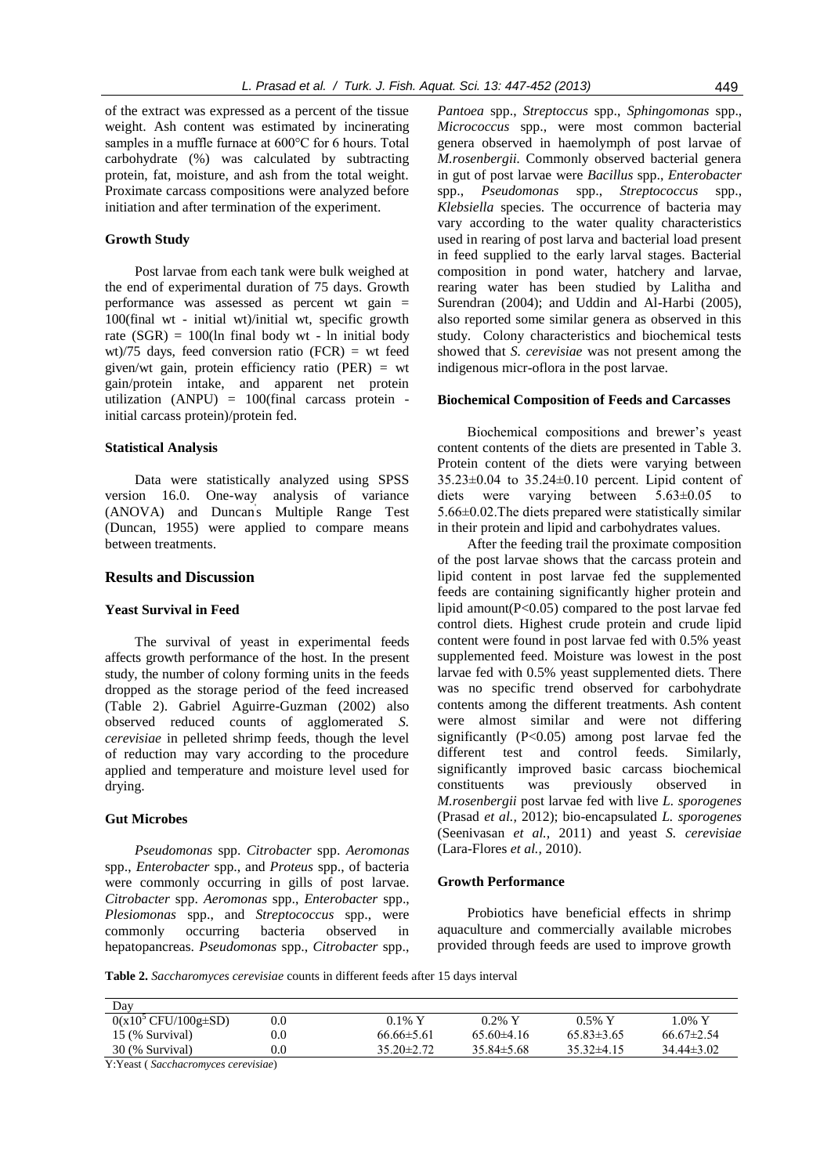of the extract was expressed as a percent of the tissue weight. Ash content was estimated by incinerating samples in a muffle furnace at 600°C for 6 hours. Total carbohydrate (%) was calculated by subtracting protein, fat, moisture, and ash from the total weight. Proximate carcass compositions were analyzed before initiation and after termination of the experiment.

### **Growth Study**

Post larvae from each tank were bulk weighed at the end of experimental duration of 75 days. Growth performance was assessed as percent wt gain = 100(final wt - initial wt)/initial wt, specific growth rate  $(SGR) = 100$ (ln final body wt - ln initial body wt)/75 days, feed conversion ratio (FCR) = wt feed given/wt gain, protein efficiency ratio (PER) = wt gain/protein intake, and apparent net protein utilization (ANPU) = 100(final carcass protein initial carcass protein)/protein fed.

#### **Statistical Analysis**

Data were statistically analyzed using SPSS version 16.0. One-way analysis of variance (ANOVA) and Duncan' s Multiple Range Test (Duncan, 1955) were applied to compare means between treatments.

# **Results and Discussion**

#### **Yeast Survival in Feed**

The survival of yeast in experimental feeds affects growth performance of the host. In the present study, the number of colony forming units in the feeds dropped as the storage period of the feed increased (Table 2). Gabriel Aguirre-Guzman (2002) also observed reduced counts of agglomerated *S. cerevisiae* in pelleted shrimp feeds, though the level of reduction may vary according to the procedure applied and temperature and moisture level used for drying.

### **Gut Microbes**

*Pseudomonas* spp. *Citrobacter* spp. *Aeromonas* spp., *Enterobacter* spp., and *Proteus* spp., of bacteria were commonly occurring in gills of post larvae. *Citrobacter* spp. *Aeromonas* spp., *Enterobacter* spp., *Plesiomonas* spp., and *Streptococcus* spp., were commonly occurring bacteria observed in hepatopancreas. *Pseudomonas* spp., *Citrobacter* spp.,

*Pantoea* spp., *Streptoccus* spp., *Sphingomonas* spp., *Micrococcus* spp., were most common bacterial genera observed in haemolymph of post larvae of *M.rosenbergii.* Commonly observed bacterial genera in gut of post larvae were *Bacillus* spp., *Enterobacter*  spp., *Pseudomonas* spp., *Streptococcus* spp., *Klebsiella* species. The occurrence of bacteria may vary according to the water quality characteristics used in rearing of post larva and bacterial load present in feed supplied to the early larval stages. Bacterial composition in pond water, hatchery and larvae, rearing water has been studied by Lalitha and Surendran (2004); and Uddin and Al-Harbi (2005), also reported some similar genera as observed in this study. Colony characteristics and biochemical tests showed that *S. cerevisiae* was not present among the indigenous micr-oflora in the post larvae.

#### **Biochemical Composition of Feeds and Carcasses**

Biochemical compositions and brewer's yeast content contents of the diets are presented in Table 3. Protein content of the diets were varying between 35.23±0.04 to 35.24±0.10 percent. Lipid content of diets were varying between 5.63±0.05 to 5.66±0.02.The diets prepared were statistically similar in their protein and lipid and carbohydrates values.

After the feeding trail the proximate composition of the post larvae shows that the carcass protein and lipid content in post larvae fed the supplemented feeds are containing significantly higher protein and lipid amount( $P<0.05$ ) compared to the post larvae fed control diets. Highest crude protein and crude lipid content were found in post larvae fed with 0.5% yeast supplemented feed. Moisture was lowest in the post larvae fed with 0.5% yeast supplemented diets. There was no specific trend observed for carbohydrate contents among the different treatments. Ash content were almost similar and were not differing significantly (P<0.05) among post larvae fed the different test and control feeds. Similarly, significantly improved basic carcass biochemical constituents was previously observed in *M.rosenbergii* post larvae fed with live *L. sporogenes* (Prasad *et al.,* 2012); bio-encapsulated *L. sporogenes* (Seenivasan *et al.,* 2011) and yeast *S. cerevisiae* (Lara-Flores *et al.,* 2010).

# **Growth Performance**

Probiotics have beneficial effects in shrimp aquaculture and commercially available microbes provided through feeds are used to improve growth

**Table 2.** *Saccharomyces cerevisiae* counts in different feeds after 15 days interval

| Day                                                 |         |                  |                |                |                |
|-----------------------------------------------------|---------|------------------|----------------|----------------|----------------|
| $\overline{0(x10^5 \text{ CFU}/100g\pm S\text{D})}$ | $0.0\,$ | $0.1\%$ Y        | $0.2\%$ Y      | $0.5\%$ Y      | . 0% Y         |
| 15 (% Survival)                                     | $0.0\,$ | $66.66\pm5.61$   | $65.60\pm4.16$ | $65.83\pm3.65$ | $66.67\pm2.54$ |
| 30 (% Survival)                                     | $0.0\,$ | $35.20 \pm 2.72$ | $35.84\pm5.68$ | $35.32\pm4.15$ | $34.44\pm3.02$ |

Y:Yeast ( *Sacchacromyces cerevisiae*)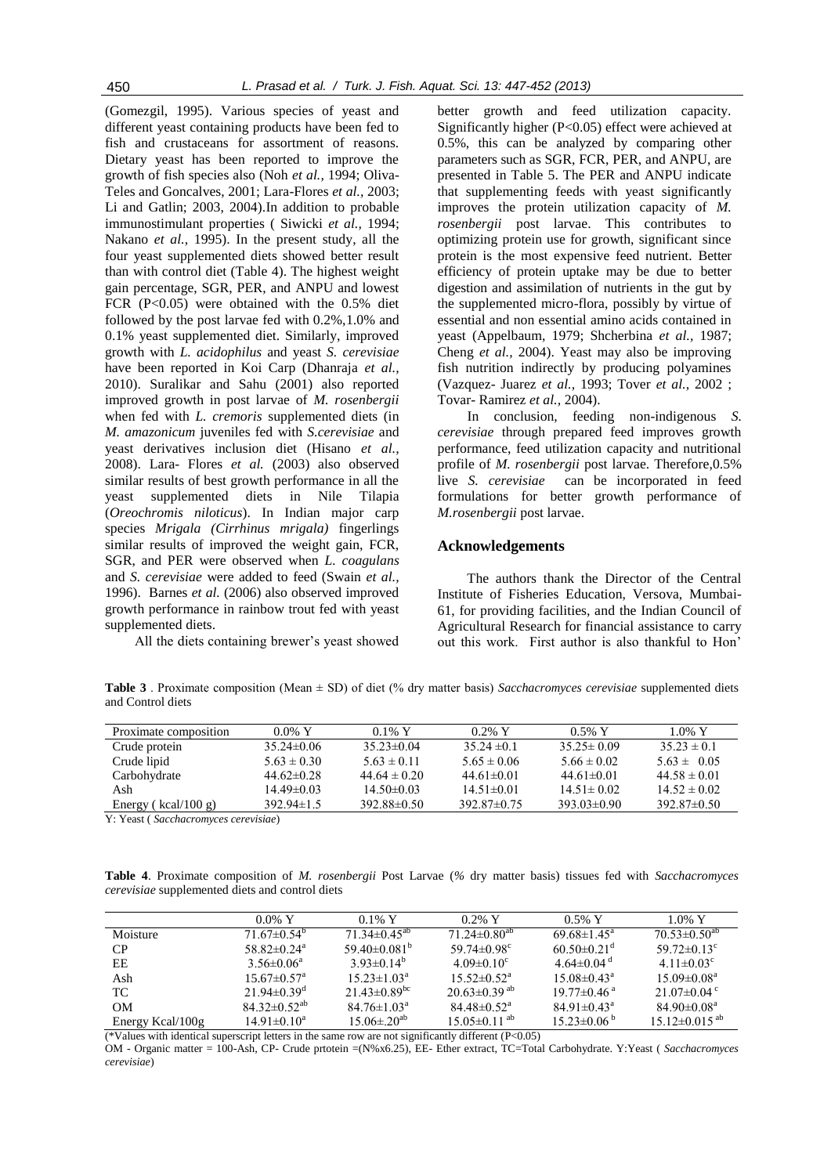(Gomezgil, 1995). Various species of yeast and different yeast containing products have been fed to fish and crustaceans for assortment of reasons. Dietary yeast has been reported to improve the growth of fish species also (Noh *et al.,* 1994; Oliva-Teles and Goncalves, 2001; Lara-Flores *et al.,* 2003; Li and Gatlin; 2003, 2004).In addition to probable immunostimulant properties ( Siwicki *et al.,* 1994; Nakano *et al.,* 1995). In the present study, all the four yeast supplemented diets showed better result than with control diet (Table 4). The highest weight gain percentage, SGR, PER, and ANPU and lowest FCR (P<0.05) were obtained with the 0.5% diet followed by the post larvae fed with 0.2%,1.0% and 0.1% yeast supplemented diet. Similarly, improved growth with *L. acidophilus* and yeast *S. cerevisiae* have been reported in Koi Carp (Dhanraja *et al.,* 2010). Suralikar and Sahu (2001) also reported improved growth in post larvae of *M. rosenbergii* when fed with *L. cremoris* supplemented diets (in *M. amazonicum* juveniles fed with *S.cerevisiae* and yeast derivatives inclusion diet (Hisano *et al.,* 2008). Lara- Flores *et al.* (2003) also observed similar results of best growth performance in all the yeast supplemented diets in Nile Tilapia (*Oreochromis niloticus*). In Indian major carp species *Mrigala (Cirrhinus mrigala)* fingerlings similar results of improved the weight gain, FCR, SGR, and PER were observed when *L. coagulans*  and *S. cerevisiae* were added to feed (Swain *et al.,* 1996). Barnes *et al.* (2006) also observed improved growth performance in rainbow trout fed with yeast supplemented diets.

All the diets containing brewer's yeast showed

better growth and feed utilization capacity. Significantly higher (P<0.05) effect were achieved at 0.5%, this can be analyzed by comparing other parameters such as SGR, FCR, PER, and ANPU, are presented in Table 5. The PER and ANPU indicate that supplementing feeds with yeast significantly improves the protein utilization capacity of *M. rosenbergii* post larvae. This contributes to optimizing protein use for growth, significant since protein is the most expensive feed nutrient. Better efficiency of protein uptake may be due to better digestion and assimilation of nutrients in the gut by the supplemented micro-flora, possibly by virtue of essential and non essential amino acids contained in yeast (Appelbaum, 1979; Shcherbina *et al.,* 1987; Cheng *et al.,* 2004). Yeast may also be improving fish nutrition indirectly by producing polyamines (Vazquez- Juarez *et al.,* 1993; Tover *et al.,* 2002 ; Tovar- Ramirez *et al.,* 2004).

In conclusion, feeding non-indigenous *S. cerevisiae* through prepared feed improves growth performance, feed utilization capacity and nutritional profile of *M. rosenbergii* post larvae. Therefore,0.5% live *S. cerevisiae* can be incorporated in feed formulations for better growth performance of *M.rosenbergii* post larvae.

#### **Acknowledgements**

The authors thank the Director of the Central Institute of Fisheries Education, Versova, Mumbai-61, for providing facilities, and the Indian Council of Agricultural Research for financial assistance to carry out this work. First author is also thankful to Hon'

**Table 3** . Proximate composition (Mean ± SD) of diet (% dry matter basis) *Sacchacromyces cerevisiae* supplemented diets and Control diets

| Proximate composition   | $0.0\%$ Y        | $0.1\%$ Y         | $0.2\%$ Y         | $0.5\%$ Y        | $1.0\%$ Y        |
|-------------------------|------------------|-------------------|-------------------|------------------|------------------|
| Crude protein           | $35.24\pm0.06$   | $35.23 \pm 0.04$  | 35 24 $\pm$ 0 1   | $35.25 \pm 0.09$ | $35.23 \pm 0.1$  |
| Crude lipid             | $5.63 \pm 0.30$  | $5.63 \pm 0.11$   | $5.65 \pm 0.06$   | $5.66 \pm 0.02$  | $563 \pm 0.05$   |
| Carbohydrate            | 44.62 $\pm$ 0.28 | 44 64 $\pm$ 0 20  | 44 61 $\pm$ 0 01  | 44 61 $\pm$ 0 01 | $44.58 \pm 0.01$ |
| Ash                     | 14.49±0.03       | $14.50\pm0.03$    | $14.51 \pm 0.01$  | $14.51 \pm 0.02$ | $14.52 \pm 0.02$ |
| Energy ( $kcal/100 g$ ) | $392.94 \pm 1.5$ | 392.88 $\pm$ 0.50 | 392 87 $\pm$ 0 75 | $393.03\pm0.90$  | $392.87\pm0.50$  |

Y: Yeast ( *Sacchacromyces cerevisiae*)

**Table 4**. Proximate composition of *M. rosenbergii* Post Larvae (*%* dry matter basis) tissues fed with *Sacchacromyces cerevisiae* supplemented diets and control diets

|                  | $0.0\%$ Y                     | $0.1\%$ Y                      | $0.2\%$ Y                      | $0.5\%$ Y                     | $1.0\%$ Y                     |
|------------------|-------------------------------|--------------------------------|--------------------------------|-------------------------------|-------------------------------|
| Moisture         | $71.67\pm0.54^b$              | $71.34 \pm 0.45$ <sup>ab</sup> | $71.24 \pm 0.80$ <sup>ab</sup> | 69 68 $\pm$ 1 45 <sup>a</sup> | $70.53 \pm 0.50^{ab}$         |
| CP.              | $58.82 \pm 0.24$ <sup>a</sup> | 59.40 $\pm$ 0.081 <sup>b</sup> | 59.74 $\pm$ 0.98 <sup>c</sup>  | $60.50\pm0.21$ <sup>d</sup>   | 59.72 $\pm$ 0.13 <sup>c</sup> |
| EЕ               | $3.56 \pm 0.06^a$             | $3.93\pm0.14^{b}$              | $4.09 \pm 0.10^{\circ}$        | 4.64 $\pm$ 0.04 <sup>d</sup>  | 4.11 $\pm$ 0.03 <sup>c</sup>  |
| Ash              | $15.67 \pm 0.57$ <sup>a</sup> | $15.23 \pm 1.03^{\text{a}}$    | $15.52 \pm 0.52^{\mathrm{a}}$  | $15.08 \pm 0.43^{\circ}$      | $15.09 \pm 0.08$ <sup>a</sup> |
| TC.              | $21.94 \pm 0.39$ <sup>d</sup> | $21.43\pm0.89$ <sup>bc</sup>   | $20.63 \pm 0.39$ <sup>ab</sup> | $19.77 \pm 0.46$ <sup>a</sup> | 2.1 07 $\pm$ 0 04 °           |
| OМ               | $84.32\pm0.52^{ab}$           | $84.76 \pm 1.03^{\circ}$       | $84.48\pm0.52^{\circ}$         | $84.91 \pm 0.43$ <sup>a</sup> | $8490\pm0.08^{\circ}$         |
| Energy Kcal/100g | $14.91 \pm 0.10^a$            | $15.06 \pm 20^{ab}$            | $15.05 \pm 0.11$ <sup>ab</sup> | $15.23\pm0.06^{b}$            | $15.12\pm0.015^{ab}$          |

(\*Values with identical superscript letters in the same row are not significantly different (P<0.05)

OM - Organic matter = 100-Ash, CP- Crude prtotein =(N%x6.25), EE- Ether extract, TC=Total Carbohydrate. Y:Yeast ( *Sacchacromyces cerevisiae*)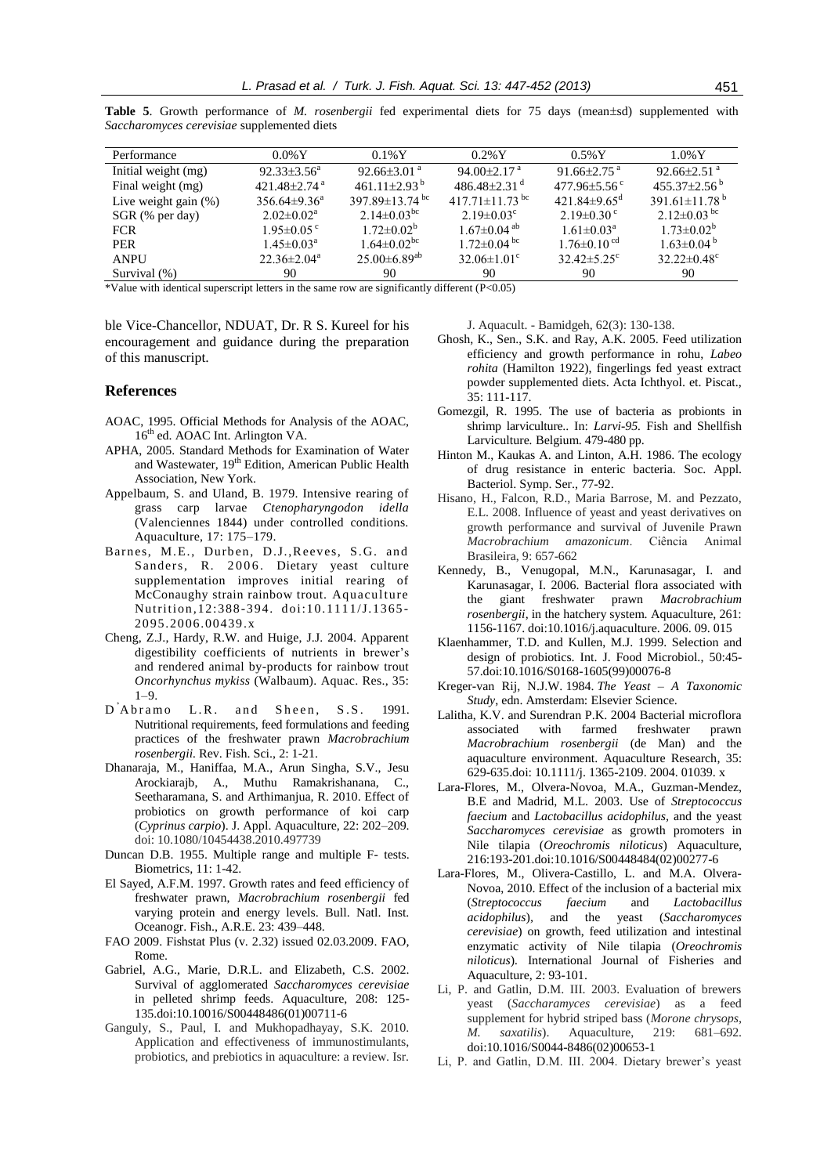| Performance             | $0.0\%$ Y                      | $0.1\%Y$                         | $0.2\%$ Y                        | $0.5\%$ Y                      | $1.0\%$ Y                       |
|-------------------------|--------------------------------|----------------------------------|----------------------------------|--------------------------------|---------------------------------|
| Initial weight (mg)     | $92.33 \pm 3.56^a$             | $92.66\pm3.01$ <sup>a</sup>      | $94.00 \pm 2.17$ <sup>a</sup>    | $91.66 \pm 2.75$ <sup>a</sup>  | $92.66\pm2.51$ <sup>a</sup>     |
| Final weight (mg)       | $421.48 \pm 2.74$ <sup>a</sup> | 461.11 + 2.93 <sup>b</sup>       | $486.48\pm2.31$ <sup>d</sup>     | $477.96 \pm 5.56$ <sup>c</sup> | $455.37 \pm 2.56^{\circ}$       |
| Live weight gain $(\%)$ | $356.64\pm9.36^{\circ}$        | 397.89 $\pm$ 13.74 <sup>bc</sup> | 417.71 $\pm$ 11.73 <sup>bc</sup> | 421.84 $\pm$ 9.65 <sup>d</sup> | 391.61 $\pm$ 11.78 <sup>b</sup> |
| SGR (% per day)         | $2.02 \pm 0.02^a$              | 2.14 $\pm$ 0.03 <sup>bc</sup>    | $2.19 \pm 0.03$ <sup>c</sup>     | $2.19 \pm 0.30$ c              | $2.12\pm0.03$ bc                |
| <b>FCR</b>              | $1.95 \pm 0.05$ °              | $1.72 \pm 0.02^b$                | $1.67 \pm 0.04$ <sup>ab</sup>    | $1.61 \pm 0.03^{\text{a}}$     | $1.73 \pm 0.02^b$               |
| <b>PER</b>              | $1.45 \pm 0.03^a$              | $1.64 \pm 0.02$ <sup>bc</sup>    | $1.72 \pm 0.04$ bc               | $1.76 \pm 0.10$ <sup>cd</sup>  | $1.63 \pm 0.04^{\mathrm{b}}$    |
| <b>ANPU</b>             | $22.36 \pm 2.04^a$             | $25.00\pm6.89^{ab}$              | $32.06 \pm 1.01$ <sup>c</sup>    | $32.42 \pm 5.25$ °             | $32.22 \pm 0.48$ °              |
| Survival (%)            | 90                             | 90                               | 90                               | 90                             | 90                              |

Table 5. Growth performance of *M. rosenbergii* fed experimental diets for 75 days (mean±sd) supplemented with *Saccharomyces cerevisiae* supplemented diets

\*Value with identical superscript letters in the same row are significantly different (P<0.05)

ble Vice-Chancellor, NDUAT, Dr. R S. Kureel for his encouragement and guidance during the preparation of this manuscript.

# **References**

- AOAC, 1995. Official Methods for Analysis of the AOAC, 16<sup>th</sup> ed. AOAC Int. Arlington VA.
- APHA, 2005. Standard Methods for Examination of Water and Wastewater, 19<sup>th</sup> Edition, American Public Health Association, New York.
- Appelbaum, S. and Uland, B. 1979. Intensive rearing of grass carp larvae *Ctenopharyngodon idella* (Valenciennes 1844) under controlled conditions. Aquaculture, 17: 175–179.
- Barnes, M.E., Durben, D.J., Reeves, S.G. and Sanders, R. 2006. Dietary yeast culture supplementation improves initial rearing of McConaughy strain rainbow trout. Aquaculture Nutrition*,*12:388-394. doi:10.1111/J.1365 - 2095.2006.00439.x
- Cheng, Z.J., Hardy, R.W. and Huige, J.J. 2004. Apparent digestibility coefficients of nutrients in brewer's and rendered animal by-products for rainbow trout *Oncorhynchus mykiss* (Walbaum). Aquac. Res., 35:  $1-9.$
- D'Abramo L.R. and Sheen, S.S. 1991. Nutritional requirements, feed formulations and feeding practices of the freshwater prawn *Macrobrachium rosenbergii.* Rev. Fish. Sci., 2: 1-21.
- Dhanaraja, M., Haniffaa, M.A., Arun Singha, S.V., Jesu Arockiarajb, A., Muthu Ramakrishanana, C., Seetharamana, S. and Arthimanjua, R. 2010. Effect of probiotics on growth performance of koi carp (*Cyprinus carpio*). J. Appl. Aquaculture, 22: 202–209. doi: 10.1080/10454438.2010.497739
- Duncan D.B. 1955. Multiple range and multiple F- tests. Biometrics*,* 11: 1-42.
- El Sayed, A.F.M. 1997. Growth rates and feed efficiency of freshwater prawn, *Macrobrachium rosenbergii* fed varying protein and energy levels. Bull. Natl. Inst. Oceanogr. Fish., A.R.E. 23: 439–448.
- FAO 2009. Fishstat Plus (v. 2.32) issued 02.03.2009. FAO, Rome.
- Gabriel, A.G., Marie, D.R.L. and Elizabeth, C.S. 2002. Survival of agglomerated *Saccharomyces cerevisiae* in pelleted shrimp feeds. Aquaculture, 208: 125- 135.doi:10.10016/S00448486(01)00711-6
- Ganguly, S., Paul, I. and Mukhopadhayay, S.K. 2010. Application and effectiveness of immunostimulants, probiotics, and prebiotics in aquaculture: a review. Isr.

J. Aquacult. - Bamidgeh, 62(3): 130-138.

- Ghosh, K., Sen., S.K. and Ray, A.K. 2005. Feed utilization efficiency and growth performance in rohu, *Labeo rohita* (Hamilton 1922), fingerlings fed yeast extract powder supplemented diets. Acta Ichthyol. et. Piscat., 35: 111-117.
- Gomezgil, R. 1995. The use of bacteria as probionts in shrimp larviculture.. In: *Larvi-95.* Fish and Shellfish Larviculture*.* Belgium. 479-480 pp.
- Hinton M., Kaukas A. and Linton, A.H. 1986. The ecology of drug resistance in enteric bacteria. Soc. Appl. Bacteriol. Symp. Ser., 77-92.
- Hisano, H., Falcon, R.D., Maria Barrose, M. and Pezzato, E.L. 2008. Influence of yeast and yeast derivatives on growth performance and survival of Juvenile Prawn *Macrobrachium amazonicum*. Ciência Animal Brasileira, 9: 657-662
- Kennedy, B., Venugopal, M.N., Karunasagar, I. and Karunasagar, I. 2006. Bacterial flora associated with the giant freshwater prawn *Macrobrachium rosenbergii*, in the hatchery system. Aquaculture, 261: 1156-1167. doi:10.1016/j.aquaculture. 2006. 09. 015
- Klaenhammer, T.D. and Kullen, M.J. 1999. Selection and design of probiotics. Int. J. Food Microbiol., 50:45- 57.doi:10.1016/S0168-1605(99)00076-8
- Kreger-van Rij, N.J.W. 1984. *The Yeast – A Taxonomic Study*, edn. Amsterdam: Elsevier Science.
- Lalitha, K.V. and Surendran P.K. 2004 Bacterial microflora associated with farmed freshwater prawn *Macrobrachium rosenbergii* (de Man) and the aquaculture environment. Aquaculture Research, 35: 629-635.doi: 10.1111/j. 1365-2109. 2004. 01039. x
- Lara-Flores, M., Olvera-Novoa, M.A., Guzman-Mendez, B.E and Madrid, M.L. 2003. Use of *Streptococcus faecium* and *Lactobacillus acidophilus,* and the yeast *Saccharomyces cerevisiae* as growth promoters in Nile tilapia (*Oreochromis niloticus*) Aquaculture, 216:193-201.doi:10.1016/S00448484(02)00277-6
- Lara-Flores, M., Olivera-Castillo, L. and M.A. Olvera-Novoa, 2010. Effect of the inclusion of a bacterial mix (*Streptococcus faecium* and *Lactobacillus acidophilus*)*,* and the yeast (*Saccharomyces cerevisiae*) on growth, feed utilization and intestinal enzymatic activity of Nile tilapia (*Oreochromis niloticus*)*.* International Journal of Fisheries and Aquaculture, 2: 93-101.
- Li, P. and Gatlin, D.M. III. 2003. Evaluation of brewers yeast (*Saccharamyces cerevisiae*) as a feed supplement for hybrid striped bass (*Morone chrysops, M. saxatilis*). Aquaculture, 219: 681–692. doi:10.1016/S0044-8486(02)00653-1
- Li, P. and Gatlin, D.M. III. 2004. Dietary brewer's yeast